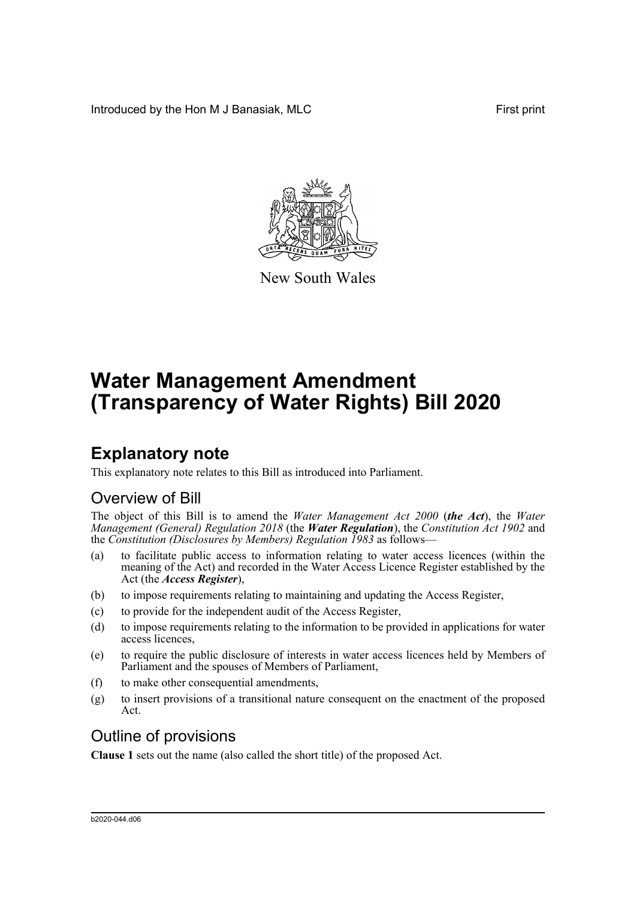Introduced by the Hon M J Banasiak, MLC **First print** 



New South Wales

# **Water Management Amendment (Transparency of Water Rights) Bill 2020**

# **Explanatory note**

This explanatory note relates to this Bill as introduced into Parliament.

# Overview of Bill

The object of this Bill is to amend the *Water Management Act 2000* (*the Act*), the *Water Management (General) Regulation 2018* (the *Water Regulation*), the *Constitution Act 1902* and the *Constitution (Disclosures by Members) Regulation 1983* as follows—

- (a) to facilitate public access to information relating to water access licences (within the meaning of the Act) and recorded in the Water Access Licence Register established by the Act (the *Access Register*),
- (b) to impose requirements relating to maintaining and updating the Access Register,
- (c) to provide for the independent audit of the Access Register,
- (d) to impose requirements relating to the information to be provided in applications for water access licences,
- (e) to require the public disclosure of interests in water access licences held by Members of Parliament and the spouses of Members of Parliament,
- (f) to make other consequential amendments,
- (g) to insert provisions of a transitional nature consequent on the enactment of the proposed Act.

# Outline of provisions

**Clause 1** sets out the name (also called the short title) of the proposed Act.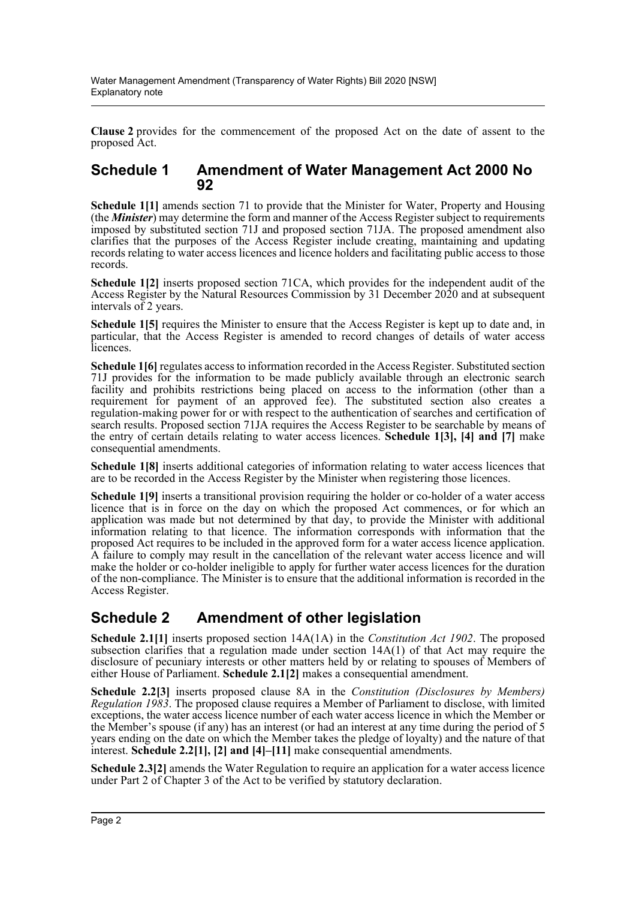**Clause 2** provides for the commencement of the proposed Act on the date of assent to the proposed Act.

### **Schedule 1 Amendment of Water Management Act 2000 No 92**

**Schedule 1[1]** amends section 71 to provide that the Minister for Water, Property and Housing (the *Minister*) may determine the form and manner of the Access Register subject to requirements imposed by substituted section 71J and proposed section 71JA. The proposed amendment also clarifies that the purposes of the Access Register include creating, maintaining and updating records relating to water access licences and licence holders and facilitating public access to those records.

**Schedule 1[2]** inserts proposed section 71CA, which provides for the independent audit of the Access Register by the Natural Resources Commission by 31 December 2020 and at subsequent intervals of 2 years.

**Schedule 1[5]** requires the Minister to ensure that the Access Register is kept up to date and, in particular, that the Access Register is amended to record changes of details of water access licences.

**Schedule 1[6]** regulates access to information recorded in the Access Register. Substituted section 71J provides for the information to be made publicly available through an electronic search facility and prohibits restrictions being placed on access to the information (other than a requirement for payment of an approved fee). The substituted section also creates a regulation-making power for or with respect to the authentication of searches and certification of search results. Proposed section 71JA requires the Access Register to be searchable by means of the entry of certain details relating to water access licences. **Schedule 1[3], [4] and [7]** make consequential amendments.

**Schedule 1[8]** inserts additional categories of information relating to water access licences that are to be recorded in the Access Register by the Minister when registering those licences.

**Schedule 1[9]** inserts a transitional provision requiring the holder or co-holder of a water access licence that is in force on the day on which the proposed Act commences, or for which an application was made but not determined by that day, to provide the Minister with additional information relating to that licence. The information corresponds with information that the proposed Act requires to be included in the approved form for a water access licence application. A failure to comply may result in the cancellation of the relevant water access licence and will make the holder or co-holder ineligible to apply for further water access licences for the duration of the non-compliance. The Minister is to ensure that the additional information is recorded in the Access Register.

# **Schedule 2 Amendment of other legislation**

**Schedule 2.1[1]** inserts proposed section 14A(1A) in the *Constitution Act 1902*. The proposed subsection clarifies that a regulation made under section 14A(1) of that Act may require the disclosure of pecuniary interests or other matters held by or relating to spouses of Members of either House of Parliament. **Schedule 2.1[2]** makes a consequential amendment.

**Schedule 2.2[3]** inserts proposed clause 8A in the *Constitution (Disclosures by Members) Regulation 1983*. The proposed clause requires a Member of Parliament to disclose, with limited exceptions, the water access licence number of each water access licence in which the Member or the Member's spouse (if any) has an interest (or had an interest at any time during the period of 5 years ending on the date on which the Member takes the pledge of loyalty) and the nature of that interest. **Schedule 2.2[1], [2] and [4]–[11]** make consequential amendments.

**Schedule 2.3[2]** amends the Water Regulation to require an application for a water access licence under Part 2 of Chapter 3 of the Act to be verified by statutory declaration.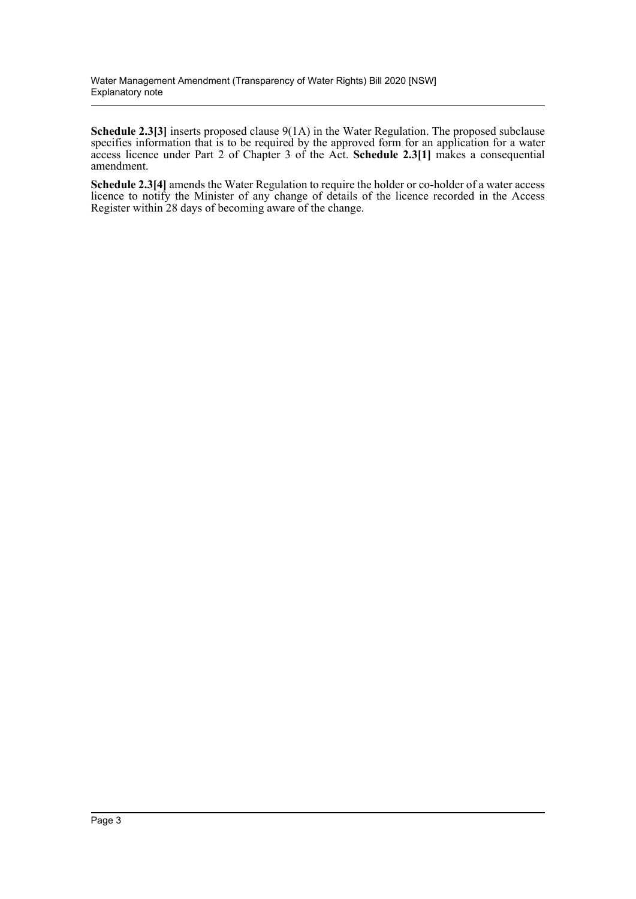**Schedule 2.3[3]** inserts proposed clause 9(1A) in the Water Regulation. The proposed subclause specifies information that is to be required by the approved form for an application for a water access licence under Part 2 of Chapter 3 of the Act. **Schedule 2.3[1]** makes a consequential amendment.

**Schedule 2.3[4]** amends the Water Regulation to require the holder or co-holder of a water access licence to notify the Minister of any change of details of the licence recorded in the Access Register within 28 days of becoming aware of the change.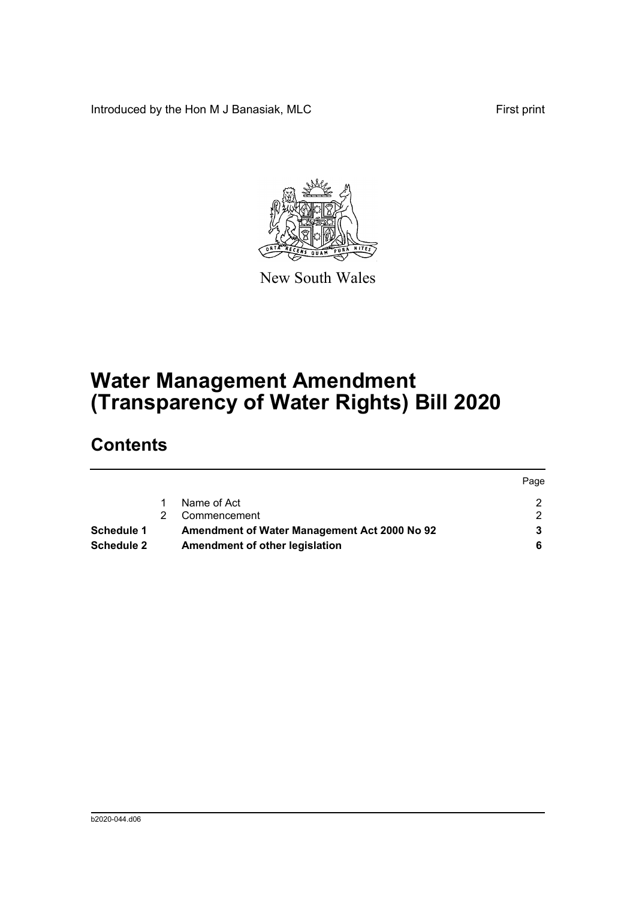Introduced by the Hon M J Banasiak, MLC First print



New South Wales

# **Water Management Amendment (Transparency of Water Rights) Bill 2020**

# **Contents**

|                   |                                              | Page |
|-------------------|----------------------------------------------|------|
|                   | Name of Act                                  |      |
|                   | Commencement                                 |      |
| <b>Schedule 1</b> | Amendment of Water Management Act 2000 No 92 |      |
| <b>Schedule 2</b> | Amendment of other legislation               |      |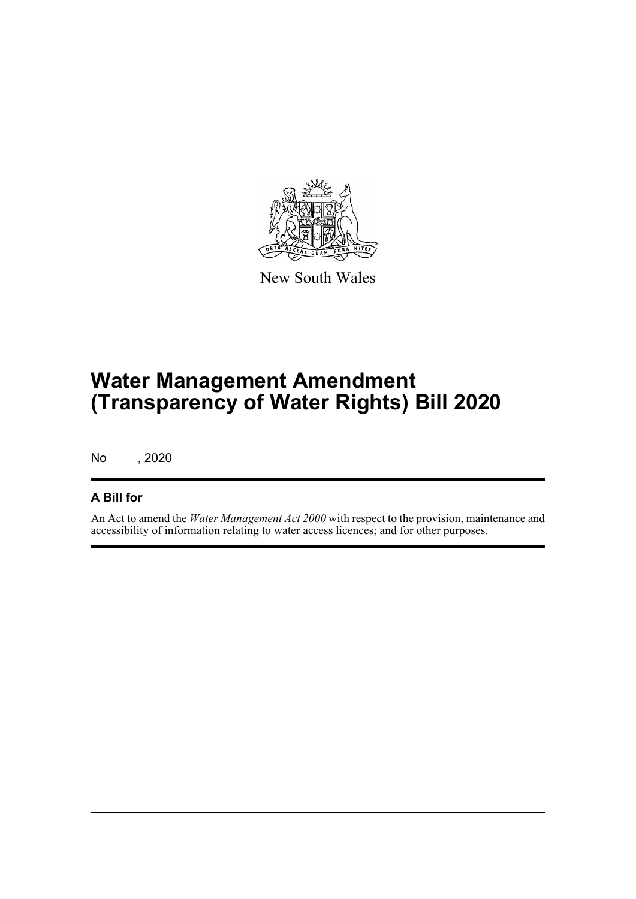

New South Wales

# **Water Management Amendment (Transparency of Water Rights) Bill 2020**

No , 2020

### **A Bill for**

An Act to amend the *Water Management Act 2000* with respect to the provision, maintenance and accessibility of information relating to water access licences; and for other purposes.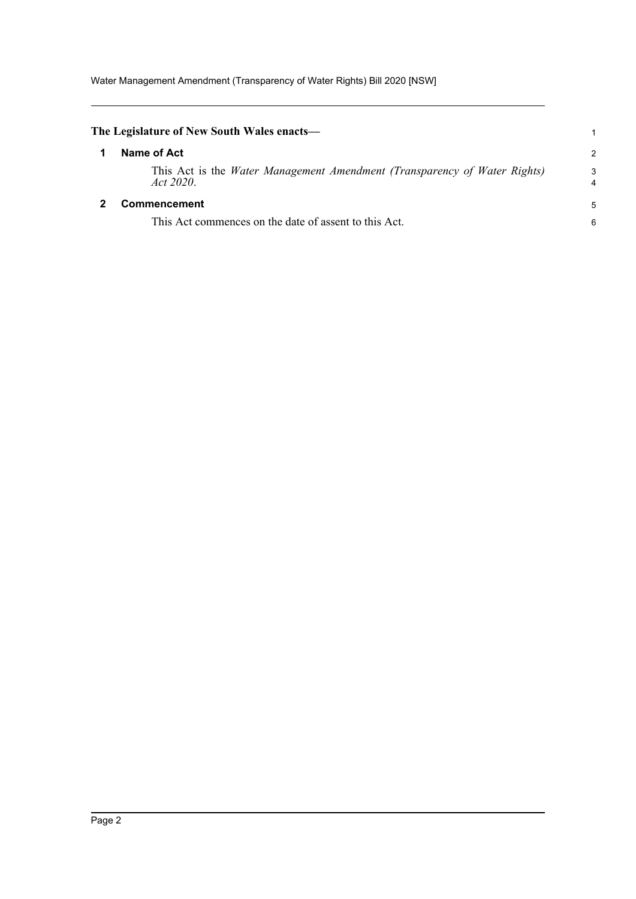Water Management Amendment (Transparency of Water Rights) Bill 2020 [NSW]

<span id="page-5-1"></span><span id="page-5-0"></span>

| The Legislature of New South Wales enacts—                                             | 1             |
|----------------------------------------------------------------------------------------|---------------|
| Name of Act                                                                            | $\mathcal{P}$ |
| This Act is the Water Management Amendment (Transparency of Water Rights)<br>Act 2020. | 3<br>4        |
| <b>Commencement</b>                                                                    | 5             |
| This Act commences on the date of assent to this Act.                                  | 6             |
|                                                                                        |               |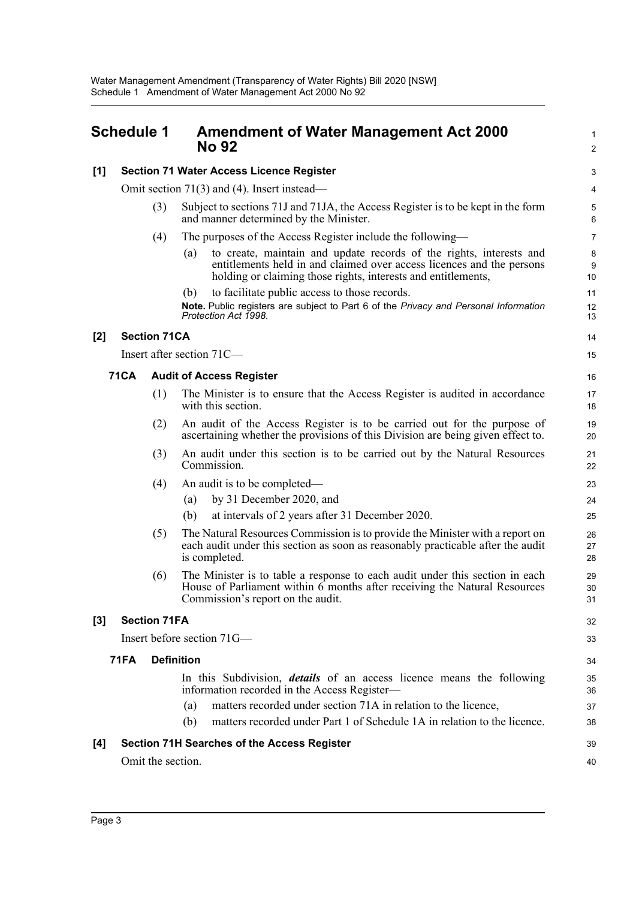#### <span id="page-6-0"></span>**Schedule 1 Amendment of Water Management Act 2000 No 92 [1] Section 71 Water Access Licence Register** Omit section 71(3) and (4). Insert instead— (3) Subject to sections 71J and 71JA, the Access Register is to be kept in the form and manner determined by the Minister. (4) The purposes of the Access Register include the following— (a) to create, maintain and update records of the rights, interests and entitlements held in and claimed over access licences and the persons holding or claiming those rights, interests and entitlements, (b) to facilitate public access to those records. **Note.** Public registers are subject to Part 6 of the *Privacy and Personal Information Protection Act 1998*. **[2] Section 71CA** Insert after section 71C— **71CA Audit of Access Register** (1) The Minister is to ensure that the Access Register is audited in accordance with this section. (2) An audit of the Access Register is to be carried out for the purpose of ascertaining whether the provisions of this Division are being given effect to. (3) An audit under this section is to be carried out by the Natural Resources Commission. (4) An audit is to be completed— (a) by 31 December 2020, and (b) at intervals of 2 years after 31 December 2020. (5) The Natural Resources Commission is to provide the Minister with a report on each audit under this section as soon as reasonably practicable after the audit is completed. (6) The Minister is to table a response to each audit under this section in each House of Parliament within 6 months after receiving the Natural Resources Commission's report on the audit. **[3] Section 71FA** Insert before section 71G— **71FA Definition** In this Subdivision, *details* of an access licence means the following information recorded in the Access Register— (a) matters recorded under section 71A in relation to the licence, (b) matters recorded under Part 1 of Schedule 1A in relation to the licence. 1  $\mathcal{L}$ 3 4 5 6 7 8 9 10 11 12 13  $14$ 15 16 17 18 19 20 21 22 23 24 25 26  $27$ 28 29 30 31 32 33 34 35 36 37 38

### **[4] Section 71H Searches of the Access Register**

Omit the section.

39 40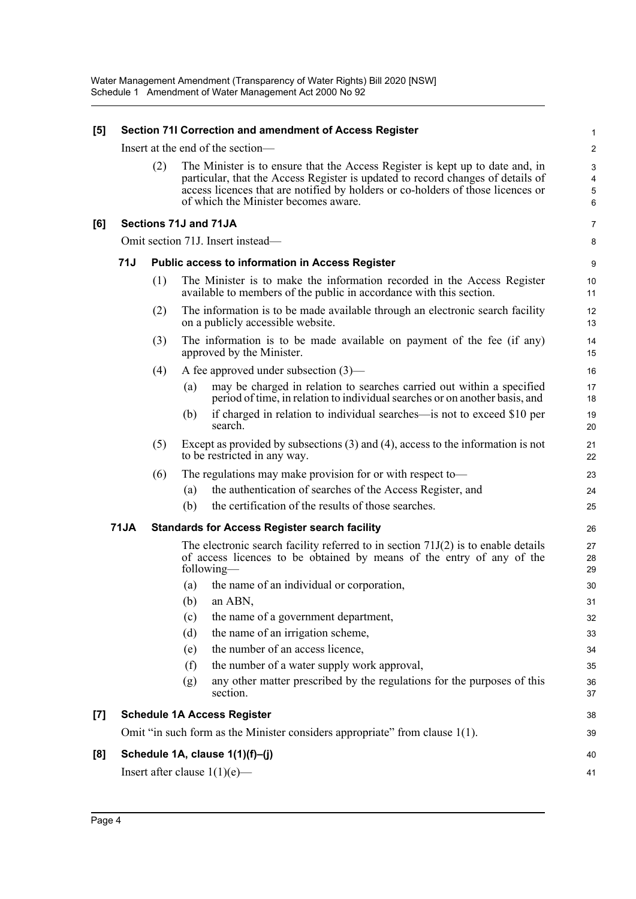| [5]   | Section 71I Correction and amendment of Access Register |     |     | 1                                                                                                                                                                                                                                                                                           |                               |
|-------|---------------------------------------------------------|-----|-----|---------------------------------------------------------------------------------------------------------------------------------------------------------------------------------------------------------------------------------------------------------------------------------------------|-------------------------------|
|       | Insert at the end of the section-                       |     |     |                                                                                                                                                                                                                                                                                             |                               |
|       |                                                         | (2) |     | The Minister is to ensure that the Access Register is kept up to date and, in<br>particular, that the Access Register is updated to record changes of details of<br>access licences that are notified by holders or co-holders of those licences or<br>of which the Minister becomes aware. | 3<br>$\overline{4}$<br>5<br>6 |
| [6]   |                                                         |     |     | Sections 71J and 71JA                                                                                                                                                                                                                                                                       | $\overline{7}$                |
|       |                                                         |     |     | Omit section 71J. Insert instead-                                                                                                                                                                                                                                                           | 8                             |
|       | 71J                                                     |     |     | Public access to information in Access Register                                                                                                                                                                                                                                             | 9                             |
|       |                                                         | (1) |     | The Minister is to make the information recorded in the Access Register<br>available to members of the public in accordance with this section.                                                                                                                                              | 10<br>11                      |
|       |                                                         | (2) |     | The information is to be made available through an electronic search facility<br>on a publicly accessible website.                                                                                                                                                                          | 12<br>13                      |
|       |                                                         | (3) |     | The information is to be made available on payment of the fee (if any)<br>approved by the Minister.                                                                                                                                                                                         | 14<br>15                      |
|       |                                                         | (4) |     | A fee approved under subsection $(3)$ —                                                                                                                                                                                                                                                     | 16                            |
|       |                                                         |     | (a) | may be charged in relation to searches carried out within a specified<br>period of time, in relation to individual searches or on another basis, and                                                                                                                                        | 17<br>18                      |
|       |                                                         |     | (b) | if charged in relation to individual searches—is not to exceed \$10 per<br>search.                                                                                                                                                                                                          | 19<br>20                      |
|       |                                                         | (5) |     | Except as provided by subsections $(3)$ and $(4)$ , access to the information is not<br>to be restricted in any way.                                                                                                                                                                        | 21<br>22                      |
|       |                                                         | (6) |     | The regulations may make provision for or with respect to—                                                                                                                                                                                                                                  | 23                            |
|       |                                                         |     | (a) | the authentication of searches of the Access Register, and                                                                                                                                                                                                                                  | 24                            |
|       |                                                         |     | (b) | the certification of the results of those searches.                                                                                                                                                                                                                                         | 25                            |
|       | <b>71JA</b>                                             |     |     | <b>Standards for Access Register search facility</b>                                                                                                                                                                                                                                        | 26                            |
|       |                                                         |     |     | The electronic search facility referred to in section $71J(2)$ is to enable details<br>of access licences to be obtained by means of the entry of any of the<br>following—                                                                                                                  | 27<br>28<br>29                |
|       |                                                         |     | (a) | the name of an individual or corporation,                                                                                                                                                                                                                                                   | 30                            |
|       |                                                         |     |     | $(b)$ an ABN,                                                                                                                                                                                                                                                                               | 31                            |
|       |                                                         |     | (c) | the name of a government department,                                                                                                                                                                                                                                                        | 32                            |
|       |                                                         |     | (d) | the name of an irrigation scheme,                                                                                                                                                                                                                                                           | 33                            |
|       |                                                         |     | (e) | the number of an access licence,                                                                                                                                                                                                                                                            | 34                            |
|       |                                                         |     | (f) | the number of a water supply work approval,                                                                                                                                                                                                                                                 | 35                            |
|       |                                                         |     | (g) | any other matter prescribed by the regulations for the purposes of this<br>section.                                                                                                                                                                                                         | 36<br>37                      |
| $[7]$ |                                                         |     |     | <b>Schedule 1A Access Register</b>                                                                                                                                                                                                                                                          | 38                            |
|       |                                                         |     |     | Omit "in such form as the Minister considers appropriate" from clause 1(1).                                                                                                                                                                                                                 | 39                            |
| [8]   |                                                         |     |     | Schedule 1A, clause 1(1)(f)-(j)                                                                                                                                                                                                                                                             | 40                            |
|       |                                                         |     |     | Insert after clause $1(1)(e)$ —                                                                                                                                                                                                                                                             | 41                            |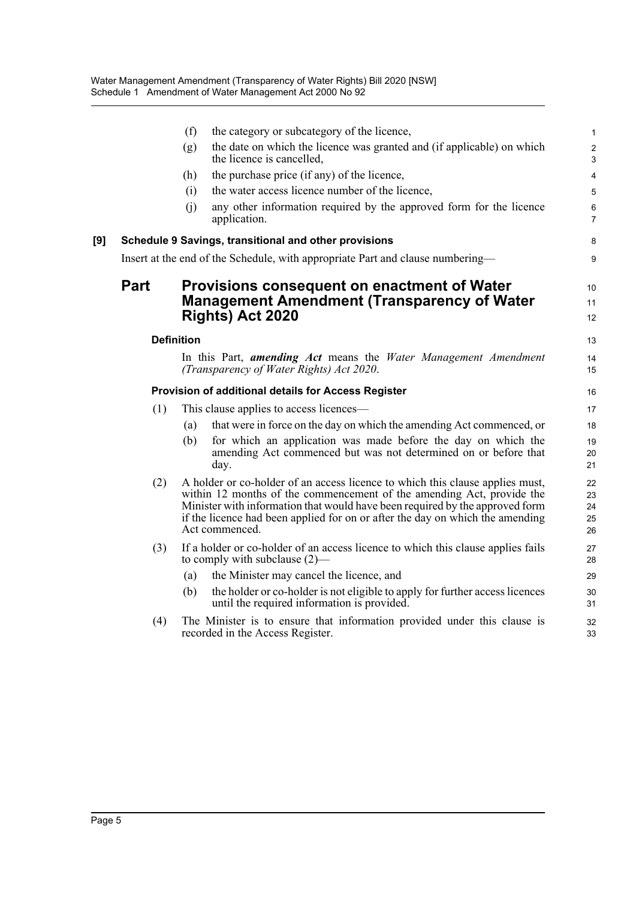|     |      | (f)               | the category or subcategory of the licence,                                                                                                                                                                                                                                                                                               | $\mathbf{1}$                                |
|-----|------|-------------------|-------------------------------------------------------------------------------------------------------------------------------------------------------------------------------------------------------------------------------------------------------------------------------------------------------------------------------------------|---------------------------------------------|
|     |      | (g)               | the date on which the licence was granted and (if applicable) on which<br>the licence is cancelled,                                                                                                                                                                                                                                       | $\overline{2}$<br>$\ensuremath{\mathsf{3}}$ |
|     |      | (h)               | the purchase price (if any) of the licence,                                                                                                                                                                                                                                                                                               | $\overline{4}$                              |
|     |      | (i)               | the water access licence number of the licence,                                                                                                                                                                                                                                                                                           | 5                                           |
|     |      | (i)               | any other information required by the approved form for the licence<br>application.                                                                                                                                                                                                                                                       | $\,6\,$<br>$\overline{7}$                   |
| [9] |      |                   | Schedule 9 Savings, transitional and other provisions                                                                                                                                                                                                                                                                                     | 8                                           |
|     |      |                   | Insert at the end of the Schedule, with appropriate Part and clause numbering—                                                                                                                                                                                                                                                            | 9                                           |
|     | Part |                   | Provisions consequent on enactment of Water<br><b>Management Amendment (Transparency of Water</b><br>Rights) Act 2020                                                                                                                                                                                                                     | 10<br>11<br>12                              |
|     |      | <b>Definition</b> |                                                                                                                                                                                                                                                                                                                                           | 13                                          |
|     |      |                   | In this Part, <b>amending Act</b> means the Water Management Amendment<br>(Transparency of Water Rights) Act 2020.                                                                                                                                                                                                                        | 14<br>15                                    |
|     |      |                   | Provision of additional details for Access Register                                                                                                                                                                                                                                                                                       | 16                                          |
|     | (1)  |                   | This clause applies to access licences—                                                                                                                                                                                                                                                                                                   | 17                                          |
|     |      | (a)               | that were in force on the day on which the amending Act commenced, or                                                                                                                                                                                                                                                                     | 18                                          |
|     |      | (b)               | for which an application was made before the day on which the<br>amending Act commenced but was not determined on or before that<br>day.                                                                                                                                                                                                  | 19<br>20<br>21                              |
|     | (2)  |                   | A holder or co-holder of an access licence to which this clause applies must,<br>within 12 months of the commencement of the amending Act, provide the<br>Minister with information that would have been required by the approved form<br>if the licence had been applied for on or after the day on which the amending<br>Act commenced. | 22<br>23<br>24<br>25<br>26                  |
|     | (3)  |                   | If a holder or co-holder of an access licence to which this clause applies fails<br>to comply with subclause $(2)$ —                                                                                                                                                                                                                      | 27<br>28                                    |
|     |      | (a)               | the Minister may cancel the licence, and                                                                                                                                                                                                                                                                                                  | 29                                          |
|     |      | (b)               | the holder or co-holder is not eligible to apply for further access licences<br>until the required information is provided.                                                                                                                                                                                                               | 30<br>31                                    |
|     | (4)  |                   | The Minister is to ensure that information provided under this clause is<br>recorded in the Access Register.                                                                                                                                                                                                                              | 32<br>33                                    |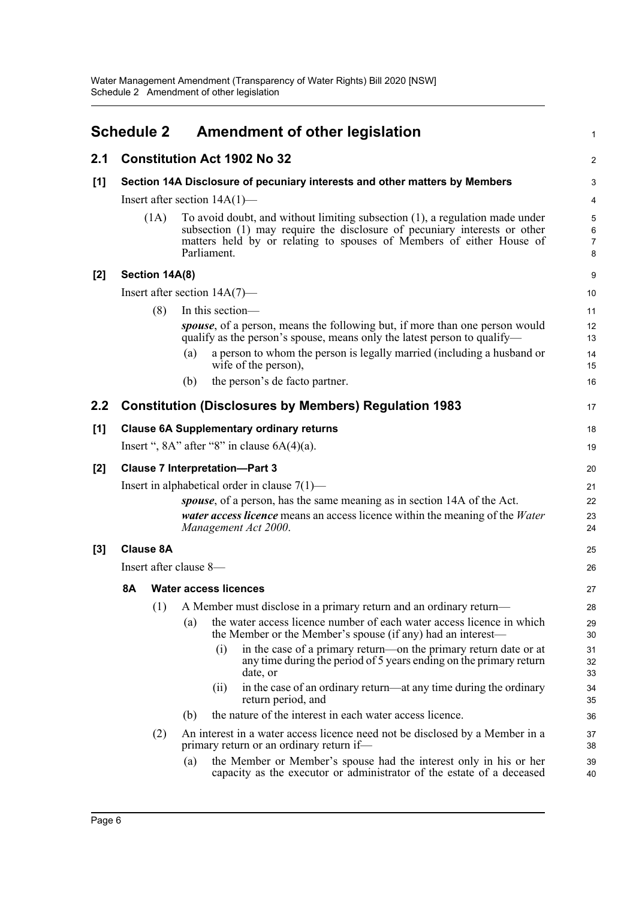<span id="page-9-0"></span>

|                  | <b>Schedule 2</b>                               |                                                                            | <b>Amendment of other legislation</b>                                                                                                                                                                                                            | 1                                   |  |
|------------------|-------------------------------------------------|----------------------------------------------------------------------------|--------------------------------------------------------------------------------------------------------------------------------------------------------------------------------------------------------------------------------------------------|-------------------------------------|--|
| 2.1              |                                                 |                                                                            | <b>Constitution Act 1902 No 32</b>                                                                                                                                                                                                               | $\overline{c}$                      |  |
| $[1]$            |                                                 | Section 14A Disclosure of pecuniary interests and other matters by Members |                                                                                                                                                                                                                                                  |                                     |  |
|                  |                                                 |                                                                            | Insert after section $14A(1)$ —                                                                                                                                                                                                                  | 4                                   |  |
|                  |                                                 | (1A)                                                                       | To avoid doubt, and without limiting subsection (1), a regulation made under<br>subsection (1) may require the disclosure of pecuniary interests or other<br>matters held by or relating to spouses of Members of either House of<br>Parliament. | 5<br>$\,6\,$<br>$\overline{7}$<br>8 |  |
| $[2]$            |                                                 | Section 14A(8)                                                             |                                                                                                                                                                                                                                                  | 9                                   |  |
|                  |                                                 |                                                                            | Insert after section $14A(7)$ —                                                                                                                                                                                                                  | 10                                  |  |
|                  |                                                 | (8)                                                                        | In this section-                                                                                                                                                                                                                                 | 11                                  |  |
|                  |                                                 |                                                                            | <i>spouse</i> , of a person, means the following but, if more than one person would<br>qualify as the person's spouse, means only the latest person to qualify—                                                                                  | 12<br>13                            |  |
|                  |                                                 |                                                                            | a person to whom the person is legally married (including a husband or<br>(a)<br>wife of the person),                                                                                                                                            | 14<br>15                            |  |
|                  |                                                 |                                                                            | the person's de facto partner.<br>(b)                                                                                                                                                                                                            | 16                                  |  |
| $2.2\phantom{0}$ |                                                 |                                                                            | <b>Constitution (Disclosures by Members) Regulation 1983</b>                                                                                                                                                                                     | 17                                  |  |
| [1]              |                                                 |                                                                            | <b>Clause 6A Supplementary ordinary returns</b>                                                                                                                                                                                                  | 18                                  |  |
|                  |                                                 |                                                                            | Insert ", $8A$ " after " $8$ " in clause $6A(4)(a)$ .                                                                                                                                                                                            | 19                                  |  |
| $[2]$            | <b>Clause 7 Interpretation-Part 3</b>           |                                                                            |                                                                                                                                                                                                                                                  |                                     |  |
|                  | Insert in alphabetical order in clause $7(1)$ — |                                                                            |                                                                                                                                                                                                                                                  |                                     |  |
|                  |                                                 |                                                                            | spouse, of a person, has the same meaning as in section 14A of the Act.<br><i>water access licence</i> means an access licence within the meaning of the <i>Water</i><br>Management Act 2000.                                                    | 22<br>23<br>24                      |  |
| $[3]$            |                                                 | <b>Clause 8A</b>                                                           |                                                                                                                                                                                                                                                  | 25                                  |  |
|                  |                                                 |                                                                            | Insert after clause 8-                                                                                                                                                                                                                           | 26                                  |  |
|                  | <b>8A</b>                                       |                                                                            | <b>Water access licences</b>                                                                                                                                                                                                                     | 27                                  |  |
|                  |                                                 | (1)                                                                        | A Member must disclose in a primary return and an ordinary return-                                                                                                                                                                               | 28                                  |  |
|                  |                                                 |                                                                            | the water access licence number of each water access licence in which<br>(a)<br>the Member or the Member's spouse (if any) had an interest-                                                                                                      | 29<br>30                            |  |
|                  |                                                 |                                                                            | in the case of a primary return—on the primary return date or at<br>(i)<br>any time during the period of 5 years ending on the primary return<br>date, or                                                                                        | 31<br>32<br>33                      |  |
|                  |                                                 |                                                                            | in the case of an ordinary return—at any time during the ordinary<br>(11)<br>return period, and                                                                                                                                                  | 34<br>35                            |  |
|                  |                                                 |                                                                            | the nature of the interest in each water access licence.<br>(b)                                                                                                                                                                                  | 36                                  |  |
|                  |                                                 | (2)                                                                        | An interest in a water access licence need not be disclosed by a Member in a<br>primary return or an ordinary return if-                                                                                                                         | 37<br>38                            |  |
|                  |                                                 |                                                                            | the Member or Member's spouse had the interest only in his or her<br>(a)<br>capacity as the executor or administrator of the estate of a deceased                                                                                                | 39<br>40                            |  |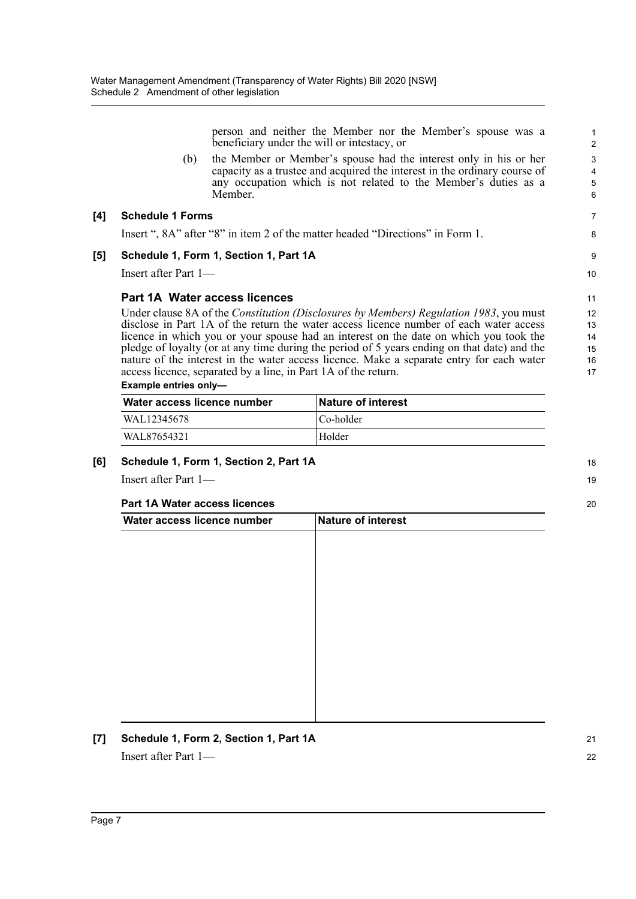person and neither the Member nor the Member's spouse was a beneficiary under the will or intestacy, or

(b) the Member or Member's spouse had the interest only in his or her capacity as a trustee and acquired the interest in the ordinary course of any occupation which is not related to the Member's duties as a Member.

#### **[4] Schedule 1 Forms**

Insert ", 8A" after "8" in item 2 of the matter headed "Directions" in Form 1.

#### **[5] Schedule 1, Form 1, Section 1, Part 1A**

Insert after Part 1—

### **Part 1A Water access licences**

Under clause 8A of the *Constitution (Disclosures by Members) Regulation 1983*, you must disclose in Part 1A of the return the water access licence number of each water access licence in which you or your spouse had an interest on the date on which you took the pledge of loyalty (or at any time during the period of 5 years ending on that date) and the nature of the interest in the water access licence. Make a separate entry for each water access licence, separated by a line, in Part 1A of the return. 12 13  $14$ 15 16 17

#### **Example entries only—**

| Water access licence number | <b>Nature of interest</b> |
|-----------------------------|---------------------------|
| WAL12345678                 | Co-holder                 |
| WAL87654321                 | Holder                    |

### **[6] Schedule 1, Form 1, Section 2, Part 1A**

Insert after Part 1—

### **Part 1A Water access licences**

| Water access licence number | Nature of interest |  |
|-----------------------------|--------------------|--|
|                             |                    |  |
|                             |                    |  |
|                             |                    |  |
|                             |                    |  |
|                             |                    |  |
|                             |                    |  |
|                             |                    |  |
|                             |                    |  |
|                             |                    |  |
|                             |                    |  |
|                             |                    |  |
|                             |                    |  |

**[7] Schedule 1, Form 2, Section 1, Part 1A** Insert after Part 1—

11

18 19

20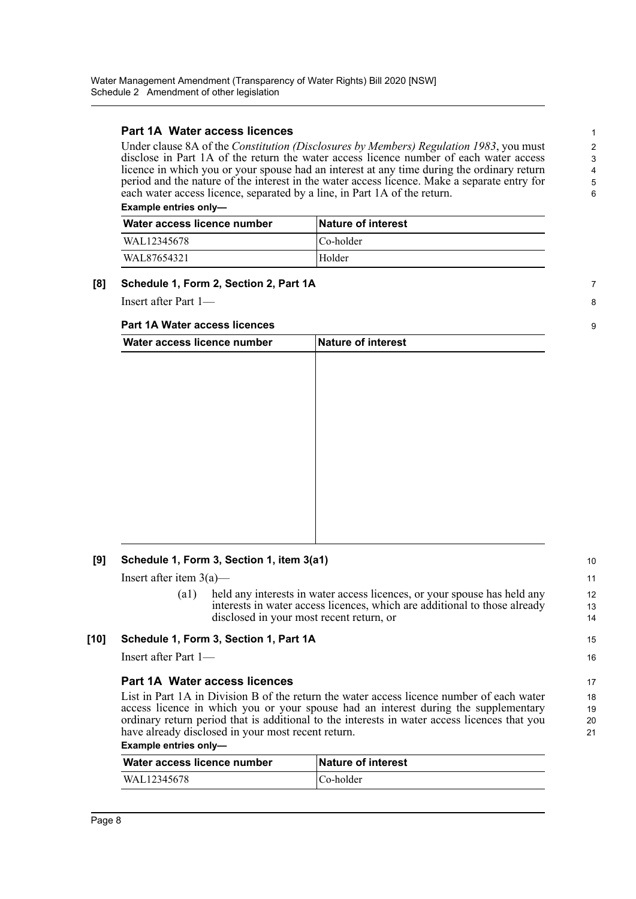### **Part 1A Water access licences**

Under clause 8A of the *Constitution (Disclosures by Members) Regulation 1983*, you must disclose in Part 1A of the return the water access licence number of each water access licence in which you or your spouse had an interest at any time during the ordinary return period and the nature of the interest in the water access licence. Make a separate entry for each water access licence, separated by a line, in Part 1A of the return. **Example entries only—** 

7 8

9

15 16

Water access licence number | Nature of interest WAL12345678 Co-holder WAL87654321 Holder

### **[8] Schedule 1, Form 2, Section 2, Part 1A**

Insert after Part 1—

#### **Part 1A Water access licences**

| Water access licence number | Nature of interest |  |
|-----------------------------|--------------------|--|
|                             |                    |  |
|                             |                    |  |
|                             |                    |  |
|                             |                    |  |
|                             |                    |  |
|                             |                    |  |
|                             |                    |  |
|                             |                    |  |
|                             |                    |  |
|                             |                    |  |
|                             |                    |  |
|                             |                    |  |

### **[9] Schedule 1, Form 3, Section 1, item 3(a1)**

Insert after item  $3(a)$ —

(a1) held any interests in water access licences, or your spouse has held any interests in water access licences, which are additional to those already disclosed in your most recent return, or

### **[10] Schedule 1, Form 3, Section 1, Part 1A**

Insert after Part 1—

### **Part 1A Water access licences**

List in Part 1A in Division B of the return the water access licence number of each water access licence in which you or your spouse had an interest during the supplementary ordinary return period that is additional to the interests in water access licences that you have already disclosed in your most recent return.

#### **Example entries only—**

| Water access licence number | <b>Nature of interest</b> |
|-----------------------------|---------------------------|
| WAL12345678                 | Co-holder                 |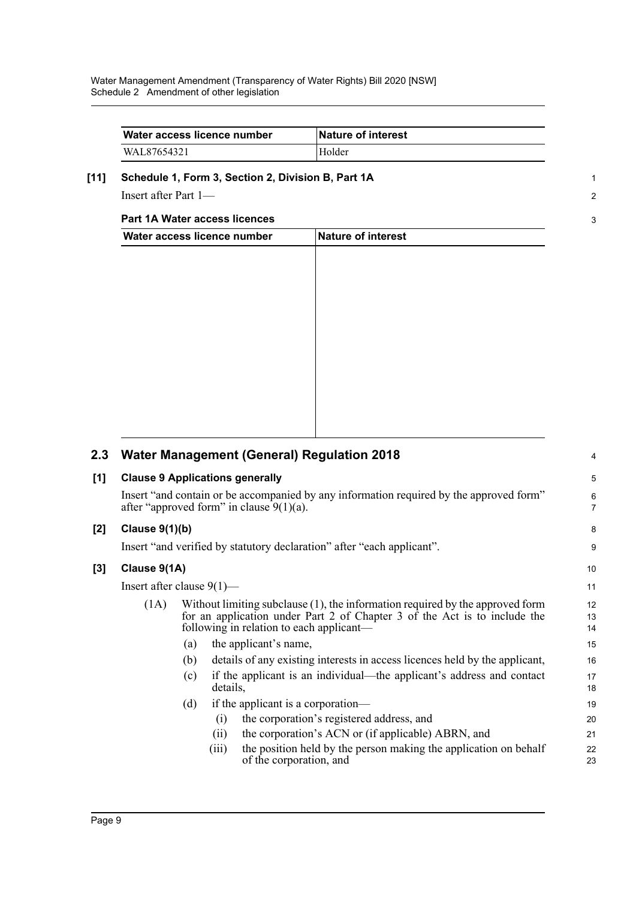| Water access licence number | <b>Nature of interest</b> |
|-----------------------------|---------------------------|
| WAL87654321                 | Holder                    |

1 2

3

### **[11] Schedule 1, Form 3, Section 2, Division B, Part 1A**

Insert after Part 1—

### **Part 1A Water access licences**

| Water access licence number | Nature of interest |  |
|-----------------------------|--------------------|--|
|                             |                    |  |
|                             |                    |  |
|                             |                    |  |
|                             |                    |  |
|                             |                    |  |
|                             |                    |  |
|                             |                    |  |
|                             |                    |  |
|                             |                    |  |
|                             |                    |  |
|                             |                    |  |

| 2.3   |                                                                                                                                                                                                                   |     |          | <b>Water Management (General) Regulation 2018</b>                                           | 4        |  |
|-------|-------------------------------------------------------------------------------------------------------------------------------------------------------------------------------------------------------------------|-----|----------|---------------------------------------------------------------------------------------------|----------|--|
| [1]   | <b>Clause 9 Applications generally</b>                                                                                                                                                                            |     |          |                                                                                             | 5        |  |
|       | Insert "and contain or be accompanied by any information required by the approved form"<br>after "approved form" in clause $9(1)(a)$ .                                                                            |     |          |                                                                                             |          |  |
| $[2]$ | Clause $9(1)(b)$                                                                                                                                                                                                  |     |          |                                                                                             | 8        |  |
|       |                                                                                                                                                                                                                   |     |          | Insert "and verified by statutory declaration" after "each applicant".                      | 9        |  |
| [3]   | Clause 9(1A)                                                                                                                                                                                                      |     |          |                                                                                             | 10       |  |
|       | Insert after clause $9(1)$ —                                                                                                                                                                                      |     |          | 11                                                                                          |          |  |
|       | Without limiting subclause $(1)$ , the information required by the approved form<br>(1A)<br>for an application under Part 2 of Chapter 3 of the Act is to include the<br>following in relation to each applicant— |     |          | 12<br>13<br>14                                                                              |          |  |
|       |                                                                                                                                                                                                                   | (a) |          | the applicant's name,                                                                       | 15       |  |
|       |                                                                                                                                                                                                                   | (b) |          | details of any existing interests in access licences held by the applicant,                 | 16       |  |
|       |                                                                                                                                                                                                                   | (c) | details, | if the applicant is an individual—the applicant's address and contact                       | 17<br>18 |  |
|       |                                                                                                                                                                                                                   | (d) |          | if the applicant is a corporation—                                                          | 19       |  |
|       |                                                                                                                                                                                                                   |     | (i)      | the corporation's registered address, and                                                   | 20       |  |
|       |                                                                                                                                                                                                                   |     | (11)     | the corporation's ACN or (if applicable) ABRN, and                                          | 21       |  |
|       |                                                                                                                                                                                                                   |     | (iii)    | the position held by the person making the application on behalf<br>of the corporation, and | 22<br>23 |  |